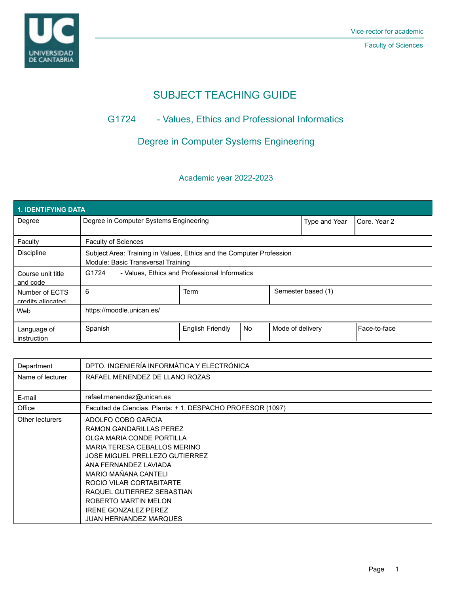

# SUBJECT TEACHING GUIDE

## G1724 - Values, Ethics and Professional Informatics

## Degree in Computer Systems Engineering

### Academic year 2022-2023

| <b>1. IDENTIFYING DATA</b>          |                                                                                                            |                         |    |                    |              |                |  |  |  |  |
|-------------------------------------|------------------------------------------------------------------------------------------------------------|-------------------------|----|--------------------|--------------|----------------|--|--|--|--|
| Degree                              | Degree in Computer Systems Engineering                                                                     |                         |    | Type and Year      | Core, Year 2 |                |  |  |  |  |
| Faculty                             | <b>Faculty of Sciences</b>                                                                                 |                         |    |                    |              |                |  |  |  |  |
| <b>Discipline</b>                   | Subject Area: Training in Values, Ethics and the Computer Profession<br>Module: Basic Transversal Training |                         |    |                    |              |                |  |  |  |  |
| Course unit title<br>and code       | - Values, Ethics and Professional Informatics<br>G1724                                                     |                         |    |                    |              |                |  |  |  |  |
| Number of ECTS<br>credits allocated | 6                                                                                                          | <b>Term</b>             |    | Semester based (1) |              |                |  |  |  |  |
| Web                                 | https://moodle.unican.es/                                                                                  |                         |    |                    |              |                |  |  |  |  |
| Language of<br>instruction          | Spanish                                                                                                    | <b>English Friendly</b> | No | Mode of delivery   |              | l Face-to-face |  |  |  |  |

| Department       | DPTO. INGENIERÍA INFORMÁTICA Y ELECTRÓNICA                  |  |  |  |  |  |
|------------------|-------------------------------------------------------------|--|--|--|--|--|
| Name of lecturer | RAFAEL MENENDEZ DE LLANO ROZAS                              |  |  |  |  |  |
|                  |                                                             |  |  |  |  |  |
| E-mail           | rafael.menendez@unican.es                                   |  |  |  |  |  |
| Office           | Facultad de Ciencias. Planta: + 1. DESPACHO PROFESOR (1097) |  |  |  |  |  |
| Other lecturers  | ADOLFO COBO GARCIA                                          |  |  |  |  |  |
|                  | <b>RAMON GANDARILLAS PEREZ</b>                              |  |  |  |  |  |
|                  | OLGA MARIA CONDE PORTILLA                                   |  |  |  |  |  |
|                  | MARIA TERESA CEBALLOS MERINO                                |  |  |  |  |  |
|                  | <b>JOSE MIGUEL PRELLEZO GUTIERREZ</b>                       |  |  |  |  |  |
|                  | ANA FERNANDEZ LAVIADA                                       |  |  |  |  |  |
|                  | MARIO MAÑANA CANTELI                                        |  |  |  |  |  |
|                  | ROCIO VILAR CORTABITARTE                                    |  |  |  |  |  |
|                  | RAQUEL GUTIERREZ SEBASTIAN                                  |  |  |  |  |  |
|                  | ROBERTO MARTIN MELON                                        |  |  |  |  |  |
|                  | <b>IRENE GONZALEZ PEREZ</b>                                 |  |  |  |  |  |
|                  | <b>JUAN HERNANDEZ MARQUES</b>                               |  |  |  |  |  |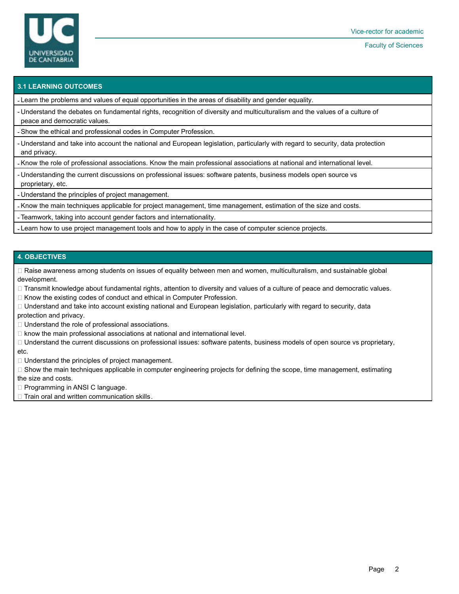

#### **3.1 LEARNING OUTCOMES**

- Learn the problems and values of equal opportunities in the areas of disability and gender equality.

- Understand the debates on fundamental rights, recognition of diversity and multiculturalism and the values of a culture of peace and democratic values.

- Show the ethical and professional codes in Computer Profession.

- Understand and take into account the national and European legislation, particularly with regard to security, data protection and privacy.

- Know the role of professional associations. Know the main professional associations at national and international level.

- Understanding the current discussions on professional issues: software patents, business models open source vs proprietary, etc.

- Understand the principles of project management.

- Know the main techniques applicable for project management, time management, estimation of the size and costs.

- Teamwork, taking into account gender factors and internationality.

- Learn how to use project management tools and how to apply in the case of computer science projects.

#### **4. OBJECTIVES**

 Raise awareness among students on issues of equality between men and women, multiculturalism, and sustainable global development.

□ Transmit knowledge about fundamental rights, attention to diversity and values of a culture of peace and democratic values.

Know the existing codes of conduct and ethical in Computer Profession.

 $\Box$  Understand and take into account existing national and European legislation, particularly with regard to security, data protection and privacy.

 $\Box$  Understand the role of professional associations.

 $\Box$  know the main professional associations at national and international level.

 Understand the current discussions on professional issues: software patents, business models of open source vs proprietary, etc.

 $\Box$  Understand the principles of project management.

 $\Box$  Show the main techniques applicable in computer engineering projects for defining the scope, time management, estimating the size and costs.

□ Programming in ANSI C language.

 $\Box$  Train oral and written communication skills.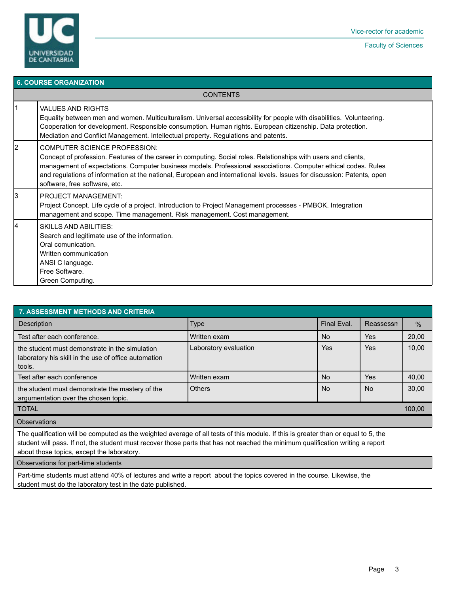

### **6. COURSE ORGANIZATION CONTENTS** 1 VALUES AND RIGHTS Equality between men and women. Multiculturalism. Universal accessibility for people with disabilities. Volunteering. Cooperation for development. Responsible consumption. Human rights. European citizenship. Data protection. Mediation and Conflict Management. Intellectual property. Regulations and patents. 2 COMPUTER SCIENCE PROFESSION: Concept of profession. Features of the career in computing. Social roles. Relationships with users and clients, management of expectations. Computer business models. Professional associations. Computer ethical codes. Rules and regulations of information at the national, European and international levels. Issues for discussion: Patents, open software, free software, etc. 3 PROJECT MANAGEMENT: Project Concept. Life cycle of a project. Introduction to Project Management processes - PMBOK. Integration management and scope. Time management. Risk management. Cost management. **SKILLS AND ABILITIES:** Search and legitimate use of the information. Oral comunication. Written communication ANSI C language. Free Software. Green Computing.

| <b>7. ASSESSMENT METHODS AND CRITERIA</b>                                                                                                                                                                                                                                                                           |                       |             |            |               |  |  |  |  |
|---------------------------------------------------------------------------------------------------------------------------------------------------------------------------------------------------------------------------------------------------------------------------------------------------------------------|-----------------------|-------------|------------|---------------|--|--|--|--|
| Description                                                                                                                                                                                                                                                                                                         | <b>Type</b>           | Final Eval. | Reassessn  | $\frac{0}{0}$ |  |  |  |  |
| Test after each conference.                                                                                                                                                                                                                                                                                         | Written exam          | <b>No</b>   | <b>Yes</b> | 20,00         |  |  |  |  |
| the student must demonstrate in the simulation<br>laboratory his skill in the use of office automation<br>tools.                                                                                                                                                                                                    | Laboratory evaluation | Yes         | Yes        | 10,00         |  |  |  |  |
| Test after each conference                                                                                                                                                                                                                                                                                          | Written exam          | No.         | Yes        | 40,00         |  |  |  |  |
| the student must demonstrate the mastery of the<br>argumentation over the chosen topic.                                                                                                                                                                                                                             | <b>Others</b>         | No.         | No.        | 30,00         |  |  |  |  |
| <b>TOTAL</b><br>100,00                                                                                                                                                                                                                                                                                              |                       |             |            |               |  |  |  |  |
| <b>Observations</b>                                                                                                                                                                                                                                                                                                 |                       |             |            |               |  |  |  |  |
| The qualification will be computed as the weighted average of all tests of this module. If this is greater than or equal to 5, the<br>student will pass. If not, the student must recover those parts that has not reached the minimum qualification writing a report<br>about those topics, except the laboratory. |                       |             |            |               |  |  |  |  |
| Observations for part-time students                                                                                                                                                                                                                                                                                 |                       |             |            |               |  |  |  |  |

Part-time students must attend 40% of lectures and write a report about the topics covered in the course. Likewise, the student must do the laboratory test in the date published.